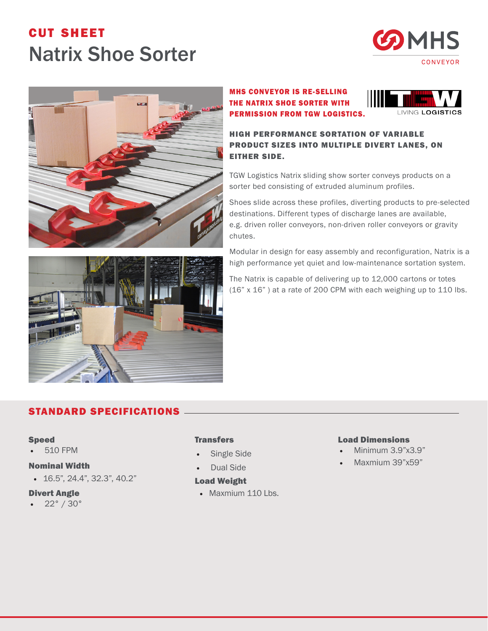# cut sheet Natrix Shoe Sorter





MHS CONVEYOR IS RE-SELLING THE NATRIX SHOE SORTER WITH PERMISSION FROM TGW LOGISTICS.



HIGH PERFORMANCE SORTATION OF VARIABLE PRODUCT SIZES INTO MULTIPLE DIVERT LANES, ON EITHER SIDE.

TGW Logistics Natrix sliding show sorter conveys products on a sorter bed consisting of extruded aluminum profiles.

Shoes slide across these profiles, diverting products to pre-selected destinations. Different types of discharge lanes are available, e.g. driven roller conveyors, non-driven roller conveyors or gravity chutes.

Modular in design for easy assembly and reconfiguration, Natrix is a high performance yet quiet and low-maintenance sortation system.

The Natrix is capable of delivering up to 12,000 cartons or totes (16" x 16" ) at a rate of 200 CPM with each weighing up to 110 lbs.

## STANDARD SPECIFICATIONS

#### Speed

• 510 FPM

### Nominal Width

• 16.5", 24.4", 32.3", 40.2"

#### Divert Angle

• 22° / 30°

#### **Transfers**

- Single Side
- Dual Side

#### Load Weight

• Maxmium 110 Lbs.

#### Load Dimensions

- Minimum 3.9"x3.9"
- Maxmium 39"x59"